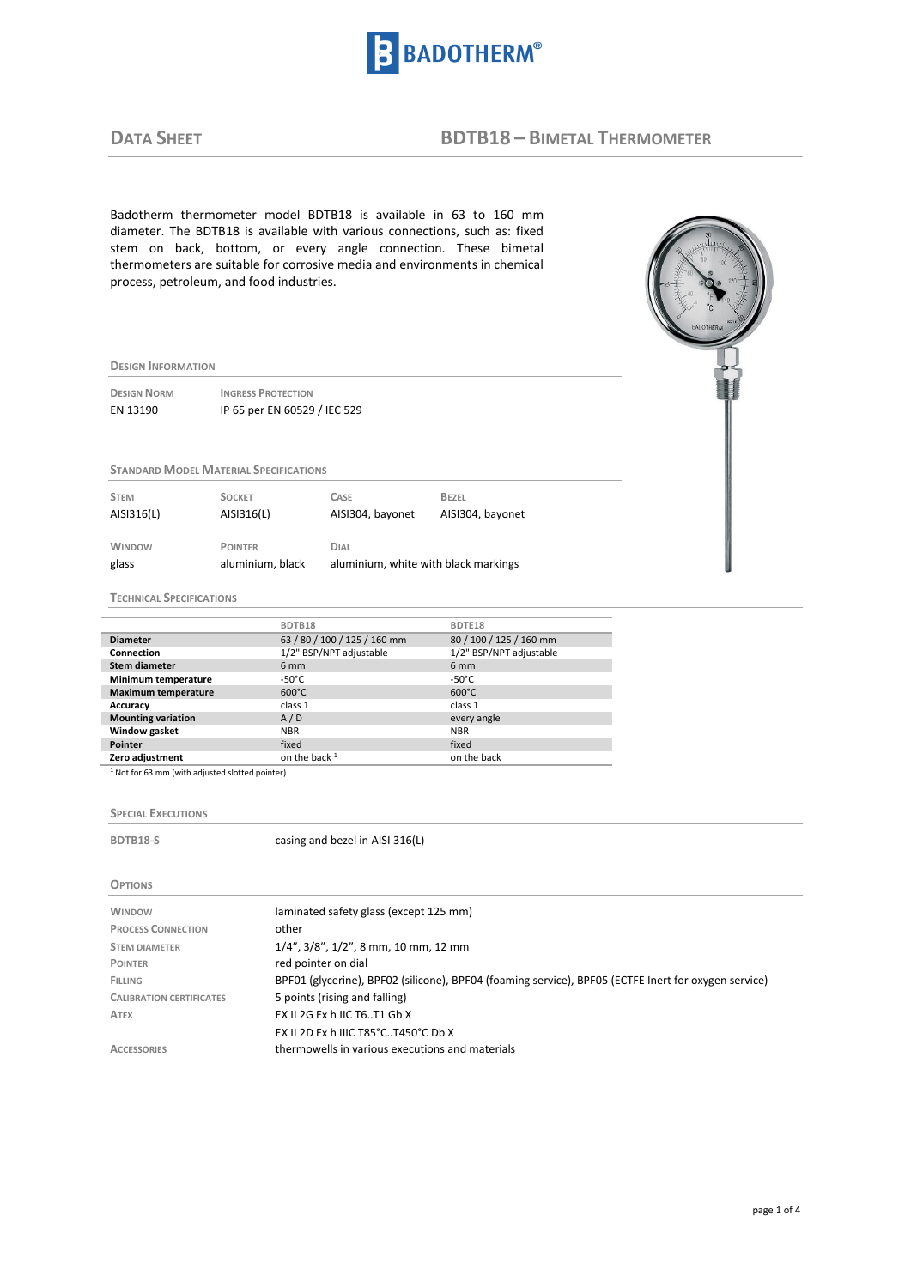

## **DATA SHEET BDTB18 – BIMETAL THERMOMETER**

Badotherm thermometer model BDTB18 is available in 63 to 160 mm diameter. The BDTB18 is available with various connections, such as: fixed stem on back, bottom, or every angle connection. These bimetal thermometers are suitable for corrosive media and environments in chemical process, petroleum, and food industries.

| <b>DESIGN INFORMATION</b> |                                               |                                      |                  |  |
|---------------------------|-----------------------------------------------|--------------------------------------|------------------|--|
| <b>DESIGN NORM</b>        | <b>INGRESS PROTECTION</b>                     |                                      |                  |  |
| EN 13190                  | IP 65 per EN 60529 / IEC 529                  |                                      |                  |  |
|                           |                                               |                                      |                  |  |
|                           | <b>STANDARD MODEL MATERIAL SPECIFICATIONS</b> |                                      |                  |  |
| <b>STEM</b>               | <b>SOCKET</b>                                 | CASE                                 | <b>BEZEL</b>     |  |
| AISI316(L)                | AISI316(L)                                    | AISI304, bayonet                     | AISI304, bayonet |  |
| <b>WINDOW</b>             | <b>POINTER</b>                                | <b>DIAL</b>                          |                  |  |
| glass                     | aluminium, black                              | aluminium, white with black markings |                  |  |
|                           |                                               |                                      |                  |  |

**TECHNICAL SPECIFICATIONS**

| BDTB18<br>BDTE18<br>63 / 80 / 100 / 125 / 160 mm<br>80 / 100 / 125 / 160 mm<br><b>Diameter</b><br>1/2" BSP/NPT adjustable<br>1/2" BSP/NPT adjustable<br>Connection |
|--------------------------------------------------------------------------------------------------------------------------------------------------------------------|
|                                                                                                                                                                    |
|                                                                                                                                                                    |
|                                                                                                                                                                    |
| Stem diameter<br>6 <sub>mm</sub><br>6 <sub>mm</sub>                                                                                                                |
| Minimum temperature<br>$-50^{\circ}$ C<br>$-50^{\circ}$ C                                                                                                          |
| <b>Maximum temperature</b><br>$600^{\circ}$ C<br>$600^{\circ}$ C                                                                                                   |
| class 1<br>class 1<br>Accuracy                                                                                                                                     |
| <b>Mounting variation</b><br>A/D<br>every angle                                                                                                                    |
| Window gasket<br><b>NBR</b><br><b>NBR</b>                                                                                                                          |
| fixed<br>fixed<br><b>Pointer</b>                                                                                                                                   |
| on the back <sup>1</sup><br>Zero adjustment<br>on the back                                                                                                         |

<sup>1</sup> Not for 63 mm (with adjusted slotted pointer)

### **SPECIAL EXECUTIONS**

**BDTB18-S** casing and bezel in AISI 316(L)

## **OPTIONS**

| <b>WINDOW</b>                   | laminated safety glass (except 125 mm)                                                               |
|---------------------------------|------------------------------------------------------------------------------------------------------|
| <b>PROCESS CONNECTION</b>       | other                                                                                                |
| <b>STEM DIAMETER</b>            | $1/4$ ", $3/8$ ", $1/2$ ", 8 mm, 10 mm, 12 mm                                                        |
| <b>POINTER</b>                  | red pointer on dial                                                                                  |
| FILLING                         | BPF01 (glycerine), BPF02 (silicone), BPF04 (foaming service), BPF05 (ECTFE Inert for oxygen service) |
| <b>CALIBRATION CERTIFICATES</b> | 5 points (rising and falling)                                                                        |
| ATEX                            | EX II 2G Ex h IIC T6T1 Gb X                                                                          |
|                                 | EX II 2D Ex h IIIC T85°CT450°C Db X                                                                  |
| <b>ACCESSORIES</b>              | thermowells in various executions and materials                                                      |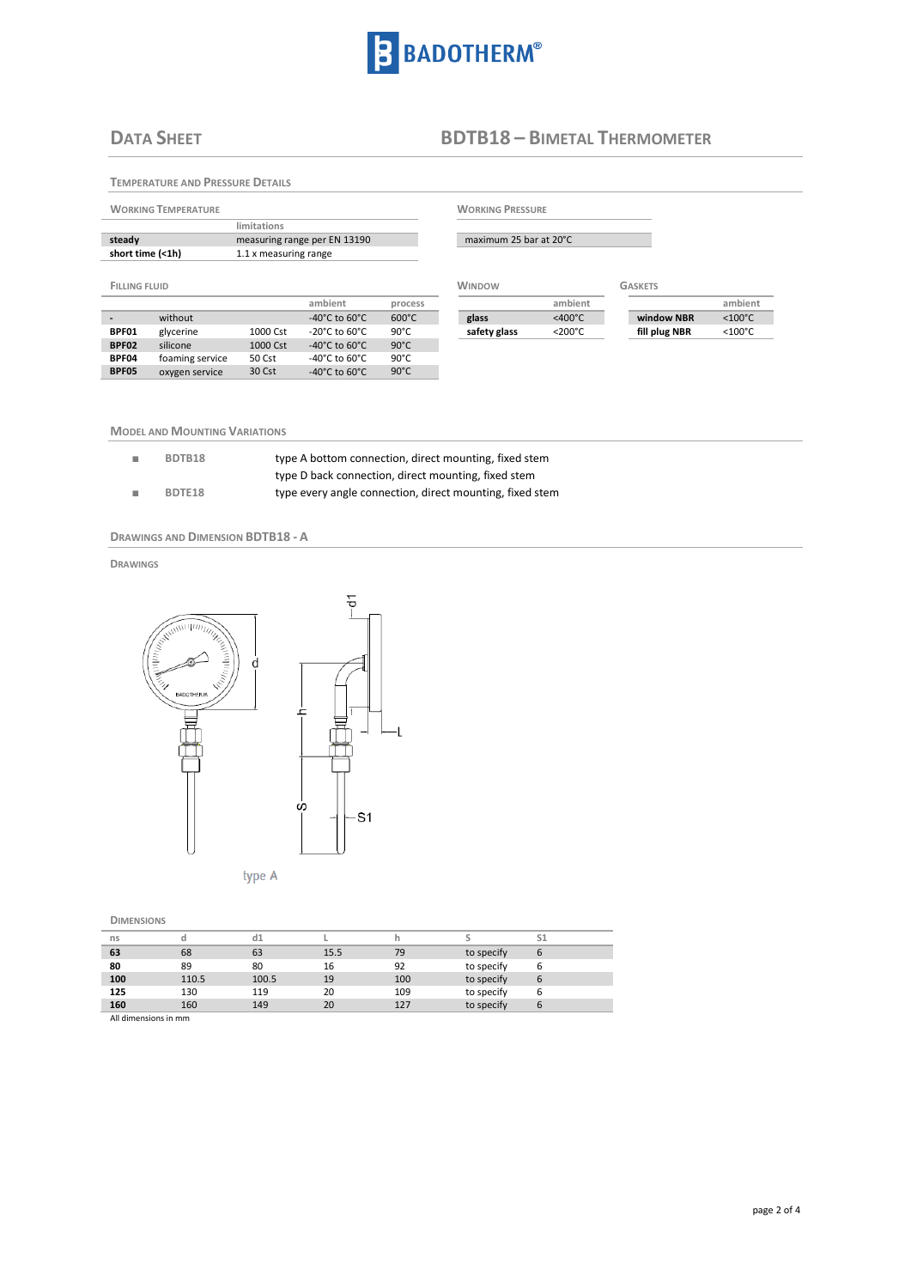

# **DATA SHEET BDTB18 – BIMETAL THERMOMETER**

**TEMPERATURE AND PRESSURE DETAILS**

| <b>WORKING TEMPERATURE</b> |                  |                       |                                     |                 | <b>WORKING PRESSURE</b> |                        |                |                   |
|----------------------------|------------------|-----------------------|-------------------------------------|-----------------|-------------------------|------------------------|----------------|-------------------|
|                            |                  | limitations           |                                     |                 |                         |                        |                |                   |
| steady                     |                  |                       | measuring range per EN 13190        |                 |                         | maximum 25 bar at 20°C |                |                   |
|                            | short time (<1h) | 1.1 x measuring range |                                     |                 |                         |                        |                |                   |
|                            |                  |                       |                                     |                 |                         |                        |                |                   |
| <b>FILLING FLUID</b>       |                  |                       |                                     |                 | <b>WINDOW</b>           |                        | <b>GASKETS</b> |                   |
|                            |                  |                       | ambient                             | process         |                         | ambient                |                | ambient           |
| $\overline{\phantom{0}}$   | without          |                       | $-40^{\circ}$ C to 60 $^{\circ}$ C  | $600^{\circ}$ C | glass                   | $<$ 400 $^{\circ}$ C   | window NBR     | $< 100^{\circ}$ C |
| BPF01                      | glycerine        | 1000 Cst              | -20 $^{\circ}$ C to 60 $^{\circ}$ C | $90^{\circ}$ C  | safety glass            | $<$ 200 $^{\circ}$ C   | fill plug NBR  | $< 100^{\circ}$ C |
| BPF02                      | silicone         | 1000 Cst              | -40 $^{\circ}$ C to 60 $^{\circ}$ C | $90^{\circ}$ C  |                         |                        |                |                   |
|                            | foaming service  | 50 Cst                | -40 $^{\circ}$ C to 60 $^{\circ}$ C | $90^{\circ}$ C  |                         |                        |                |                   |
| BPF04                      |                  | 30 Cst                | $-40^{\circ}$ C to 60 $^{\circ}$ C  | $90^{\circ}$ C  |                         |                        |                |                   |

## **MODEL AND MOUNTING VARIATIONS**

| BDTB18 | type A bottom connection, direct mounting, fixed stem    |
|--------|----------------------------------------------------------|
|        | type D back connection, direct mounting, fixed stem      |
| BDTE18 | type every angle connection, direct mounting, fixed stem |

## **DRAWINGS AND DIMENSION BDTB18 - A**

**DRAWINGS**



| <b>DIMENSIONS</b> |       |       |      |     |            |                |
|-------------------|-------|-------|------|-----|------------|----------------|
| ns                |       | d1    |      | h   |            | S <sub>1</sub> |
| 63                | 68    | 63    | 15.5 | 79  | to specify | 6              |
| 80                | 89    | 80    | 16   | 92  | to specify | 6              |
| 100               | 110.5 | 100.5 | 19   | 100 | to specify | 6              |
| 125               | 130   | 119   | 20   | 109 | to specify | 6              |
| 160               | 160   | 149   | 20   | 127 | to specify | 6              |

All dimensions in mm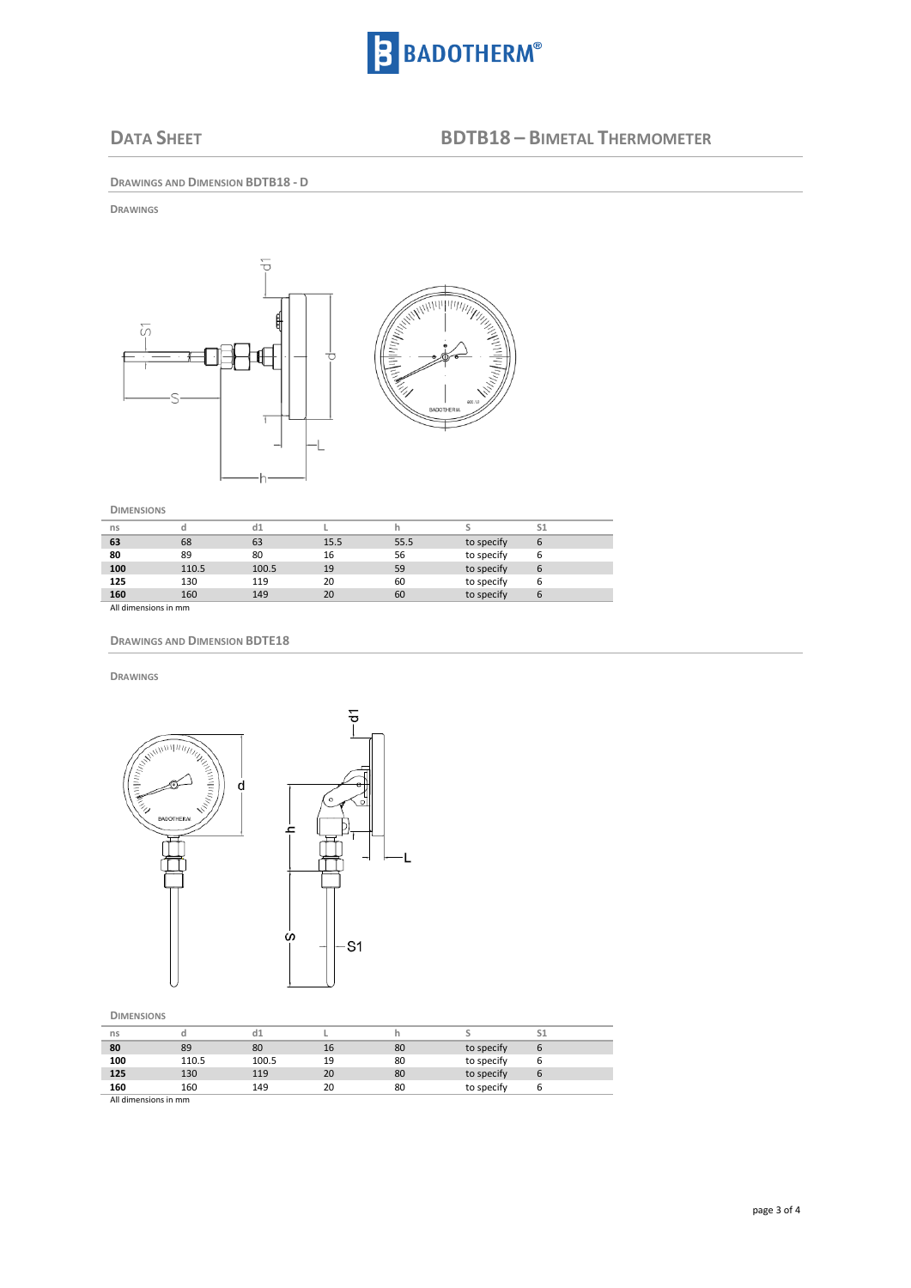

# **DATA SHEET BDTB18 – BIMETAL THERMOMETER**

**DRAWINGS AND DIMENSION BDTB18 - D**

**DRAWINGS**



## **DIMENSIONS**

| ns  |       | d1    |      |      |            | S1 |
|-----|-------|-------|------|------|------------|----|
| 63  | 68    | 63    | 15.5 | 55.5 | to specify | 6  |
| 80  | 89    | 80    | 16   | 56   | to specify | ь  |
| 100 | 110.5 | 100.5 | 19   | 59   | to specify | b  |
| 125 | 130   | 119   | 20   | 60   | to specify | ь  |
| 160 | 160   | 149   | 20   | 60   | to specify | ь  |
|     |       |       |      |      |            |    |

All dimensions in mm

**DRAWINGS AND DIMENSION BDTE18**

**DRAWINGS**



### **DIMENSIONS**

| ns  |       | aт    |    |    |            |   |
|-----|-------|-------|----|----|------------|---|
| 80  | 89    | 80    | 16 | 80 | to specify | b |
| 100 | 110.5 | 100.5 | 19 | 80 | to specify | ь |
| 125 | 130   | 119   | 20 | 80 | to specify | b |
| 160 | 160   | 149   | 20 | 80 | to specify |   |
|     |       |       |    |    |            |   |

All dimensions in mm